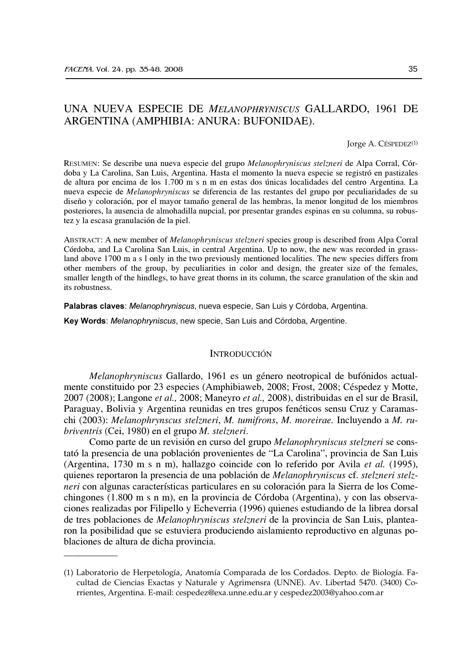# UNA NUEVA ESPECIE DE MELANOPHRYNISCUS GALLARDO, 1961 DE ARGENTINA (AMPHIBIA: ANURA: BUFONIDAE).

Jorge A. CÉSPEDEZ<sup>(1)</sup>

RESUMEN: Se describe una nueva especie del grupo Melanophryniscus stelzneri de Alpa Corral, Córdoba y La Carolina, San Luis, Argentina. Hasta el momento la nueva especie se registró en pastizales de altura por encima de los 1.700 m s n m en estas dos únicas localidades del centro Argentina. La nueva especie de *Melanophryniscus* se diferencia de las restantes del grupo por peculiaridades de su diseño y coloración, por el mayor tamaño general de las hembras, la menor longitud de los miembros posteriores, la ausencia de almohadilla nupcial, por presentar grandes espinas en su columna, su robustez y la escasa granulación de la piel.

ABSTRACT: A new member of *Melanophryniscus stelzneri* species group is described from Alpa Corral Córdoba, and La Carolina San Luis, in central Argentina. Up to now, the new was recorded in grassland above 1700 m a s l only in the two previously mentioned localities. The new species differs from other members of the group, by peculiarities in color and design, the greater size of the females, smaller length of the hindlegs, to have great thorns in its column, the scarce granulation of the skin and its robustness.

Palabras claves: Melanophryniscus, nueva especie, San Luis y Córdoba, Argentina.

Key Words: Melanophryniscus, new specie, San Luis and Córdoba, Argentine.

#### **INTRODUCCIÓN**

Melanophryniscus Gallardo, 1961 es un género neotropical de bufónidos actualmente constituido por 23 especies (Amphibiaweb, 2008; Frost, 2008; Céspedez y Motte, 2007 (2008); Langone et al., 2008; Maneyro et al., 2008), distribuidas en el sur de Brasil, Paraguay, Bolivia y Argentina reunidas en tres grupos fenéticos sensu Cruz y Caramaschi (2003): Melanophrynscus stelzneri, M. tumifrons, M. moreirae. Incluyendo a M. rubriventris (Cei, 1980) en el grupo M. stelzneri.

Como parte de un revisión en curso del grupo Melanophryniscus stelzneri se constató la presencia de una población provenientes de "La Carolina", provincia de San Luis (Argentina, 1730 m s n m), hallazgo coincide con lo referido por Avila et al. (1995), quienes reportaron la presencia de una población de *Melanophryniscus* cf. *stelzneri stelz*neri con algunas características particulares en su coloración para la Sierra de los Comechingones (1.800 m s n m), en la provincia de Córdoba (Argentina), y con las observaciones realizadas por Filipello y Echeverria (1996) quienes estudiando de la librea dorsal de tres poblaciones de *Melanophryniscus stelzneri* de la provincia de San Luis, plantearon la posibilidad que se estuviera produciendo aislamiento reproductivo en algunas poblaciones de altura de dicha provincia.

<sup>(1)</sup> Laboratorio de Herpetología, Anatomía Comparada de los Cordados. Depto. de Biología. Facultad de Ciencias Exactas y Naturale y Agrimensra (UNNE). Av. Libertad 5470. (3400) Corrientes, Argentina. E-mail: cespedez@exa.unne.edu.ar y cespedez2003@yahoo.com.ar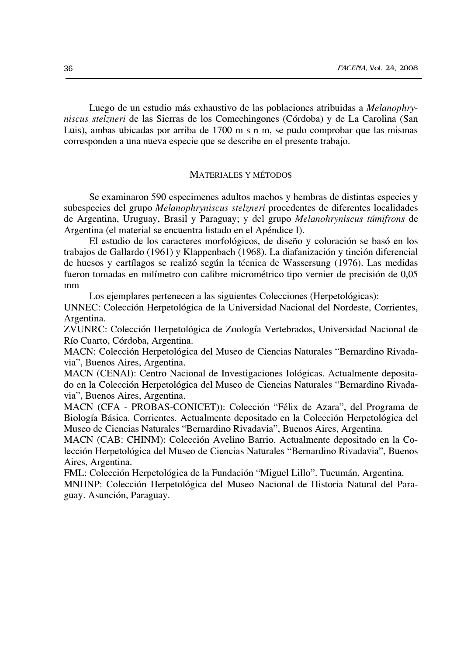Luego de un estudio más exhaustivo de las poblaciones atribuidas a *Melanophry*niscus stelzneri de las Sierras de los Comechingones (Córdoba) y de La Carolina (San Luis), ambas ubicadas por arriba de 1700 m s n m, se pudo comprobar que las mismas corresponden a una nueva especie que se describe en el presente trabajo.

## **MATERIALES Y MÉTODOS**

Se examinaron 590 especimenes adultos machos y hembras de distintas especies y subespecies del grupo Melanophryniscus stelzneri procedentes de diferentes localidades de Argentina, Uruguay, Brasil y Paraguay; y del grupo Melanohryniscus túmifrons de Argentina (el material se encuentra listado en el Apéndice I).

El estudio de los caracteres morfológicos, de diseño y coloración se basó en los trabajos de Gallardo (1961) y Klappenbach (1968). La diafanización y tinción diferencial de huesos y cartílagos se realizó según la técnica de Wassersung (1976). Las medidas fueron tomadas en milímetro con calibre micrométrico tipo vernier de precisión de 0,05 mm

Los ejemplares pertenecen a las siguientes Colecciones (Herpetológicas):

UNNEC: Colección Herpetológica de la Universidad Nacional del Nordeste, Corrientes, Argentina.

ZVUNRC: Colección Herpetológica de Zoología Vertebrados, Universidad Nacional de Río Cuarto, Córdoba, Argentina.

MACN: Colección Herpetológica del Museo de Ciencias Naturales "Bernardino Rivadavia", Buenos Aires, Argentina.

MACN (CENAI): Centro Nacional de Investigaciones Iológicas. Actualmente depositado en la Colección Herpetológica del Museo de Ciencias Naturales "Bernardino Rivadavia", Buenos Aires, Argentina.

MACN (CFA - PROBAS-CONICET)): Colección "Félix de Azara", del Programa de Biología Básica. Corrientes. Actualmente depositado en la Colección Herpetológica del Museo de Ciencias Naturales "Bernardino Rivadavia", Buenos Aires, Argentina.

MACN (CAB: CHINM): Colección Avelino Barrio. Actualmente depositado en la Colección Herpetológica del Museo de Ciencias Naturales "Bernardino Rivadavia", Buenos Aires, Argentina.

FML: Colección Herpetológica de la Fundación "Miguel Lillo". Tucumán, Argentina. MNHNP: Colección Herpetológica del Museo Nacional de Historia Natural del Paraguay. Asunción, Paraguay.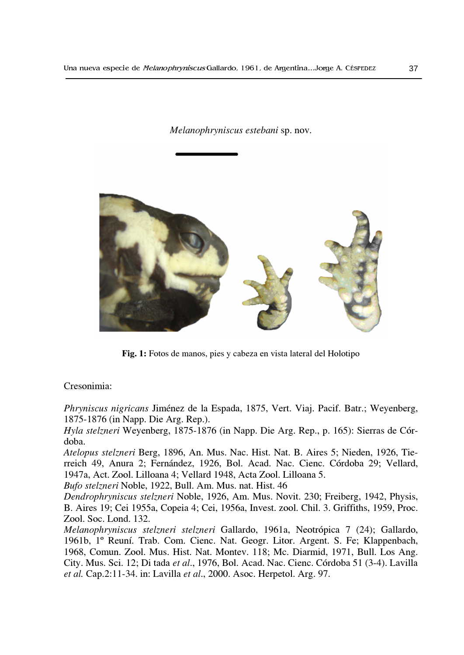Melanophryniscus estebani sp. nov.



Fig. 1: Fotos de manos, pies y cabeza en vista lateral del Holotipo

## Cresonimia:

*Phryniscus nigricans* Jiménez de la Espada, 1875, Vert. Viaj. Pacif. Batr.; Weyenberg, 1875-1876 (in Napp. Die Arg. Rep.).

Hyla stelzneri Weyenberg, 1875-1876 (in Napp. Die Arg. Rep., p. 165): Sierras de Córdoba.

Atelopus stelzneri Berg, 1896, An. Mus. Nac. Hist. Nat. B. Aires 5; Nieden, 1926, Tierreich 49, Anura 2; Fernández, 1926, Bol. Acad. Nac. Cienc. Córdoba 29; Vellard, 1947a, Act. Zool. Lilloana 4; Vellard 1948, Acta Zool. Lilloana 5.

Bufo stelzneri Noble, 1922, Bull. Am. Mus. nat. Hist. 46

Dendrophryniscus stelzneri Noble, 1926, Am. Mus. Novit. 230; Freiberg, 1942, Physis, B. Aires 19; Cei 1955a, Copeia 4; Cei, 1956a, Invest. zool. Chil. 3. Griffiths, 1959, Proc. Zool. Soc. Lond. 132.

Melanophryniscus stelzneri stelzneri Gallardo, 1961a, Neotrópica 7 (24); Gallardo, 1961b, 1º Reuní. Trab. Com. Cienc. Nat. Geogr. Litor. Argent. S. Fe; Klappenbach, 1968, Comun. Zool. Mus. Hist. Nat. Montev. 118; Mc. Diarmid, 1971, Bull. Los Ang. City. Mus. Sci. 12; Di tada et al., 1976, Bol. Acad. Nac. Cienc. Córdoba 51 (3-4). Lavilla et al. Cap.2:11-34. in: Lavilla et al., 2000. Asoc. Herpetol. Arg. 97.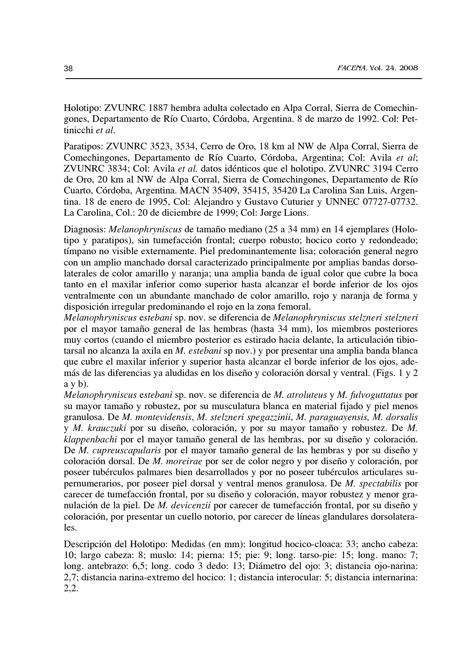Holotipo: ZVUNRC 1887 hembra adulta colectado en Alpa Corral, Sierra de Comechingones, Departamento de Río Cuarto, Córdoba, Argentina. 8 de marzo de 1992. Col: Pettinicchi et al.

Paratipos: ZVUNRC 3523, 3534, Cerro de Oro, 18 km al NW de Alpa Corral, Sierra de Comechingones, Departamento de Río Cuarto, Córdoba, Argentina; Col: Avila et al; ZVUNRC 3834; Col: Avila et al. datos idénticos que el holotipo. ZVUNRC 3194 Cerro de Oro, 20 km al NW de Alpa Corral, Sierra de Comechingones, Departamento de Río Cuarto, Córdoba, Argentina. MACN 35409, 35415, 35420 La Carolina San Luis, Argentina. 18 de enero de 1995, Col: Alejandro y Gustavo Cuturier y UNNEC 07727-07732. La Carolina, Col.: 20 de diciembre de 1999; Col: Jorge Lions.

Diagnosis: *Melanophryniscus* de tamaño mediano (25 a 34 mm) en 14 ejemplares (Holotipo y paratipos), sin tumefacción frontal; cuerpo robusto; hocico corto y redondeado; tímpano no visible externamente. Piel predominantemente lisa; coloración general negro con un amplio manchado dorsal caracterizado principalmente por amplias bandas dorsolaterales de color amarillo y naranja; una amplia banda de igual color que cubre la boca tanto en el maxilar inferior como superior hasta alcanzar el borde inferior de los ojos ventralmente con un abundante manchado de color amarillo, rojo y naranja de forma y disposición irregular predominando el rojo en la zona femoral.

Melanophryniscus estebani sp. nov. se diferencia de Melanophryniscus stelzneri stelzneri por el mayor tamaño general de las hembras (hasta 34 mm), los miembros posteriores muy cortos (cuando el miembro posterior es estirado hacia delante, la articulación tibiotarsal no alcanza la axila en  $M$ . estebani sp nov.) y por presentar una amplia banda blanca que cubre el maxilar inferior y superior hasta alcanzar el borde inferior de los ojos, además de las diferencias ya aludidas en los diseño y coloración dorsal y ventral. (Figs. 1 y 2  $a \vee b$ ).

Melanophryniscus estebani sp. nov. se diferencia de M. atroluteus y M. fulvoguttatus por su mayor tamaño y robustez, por su musculatura blanca en material fijado y piel menos granulosa. De M. montevidensis, M. stelzneri spegazzinii, M. paraguayensis, M. dorsalis y M. krauczuki por su diseño, coloración, y por su mayor tamaño y robustez. De M. klappenbachi por el mayor tamaño general de las hembras, por su diseño y coloración. De *M. cupreus capularis* por el mayor tamaño general de las hembras y por su diseño y coloración dorsal. De *M. moreirae* por ser de color negro y por diseño y coloración, por poseer tubérculos palmares bien desarrollados y por no poseer tubérculos articulares supernumerarios, por poseer piel dorsal y ventral menos granulosa. De M. spectabilis por carecer de tumefacción frontal, por su diseño y coloración, mayor robustez y menor granulación de la piel. De *M. devicenzii* por carecer de tumefacción frontal, por su diseño y coloración, por presentar un cuello notorio, por carecer de líneas glandulares dorsolaterales.

Descripción del Holotipo: Medidas (en mm): longitud hocico-cloaca: 33; ancho cabeza: 10; largo cabeza: 8; muslo: 14; pierna: 15; pie: 9; long. tarso-pie: 15; long. mano: 7; long. antebrazo: 6,5; long. codo 3 dedo: 13; Diámetro del ojo: 3; distancia ojo-narina: 2,7; distancia narina-extremo del hocico: 1; distancia interocular: 5; distancia internarina:  $2,2.$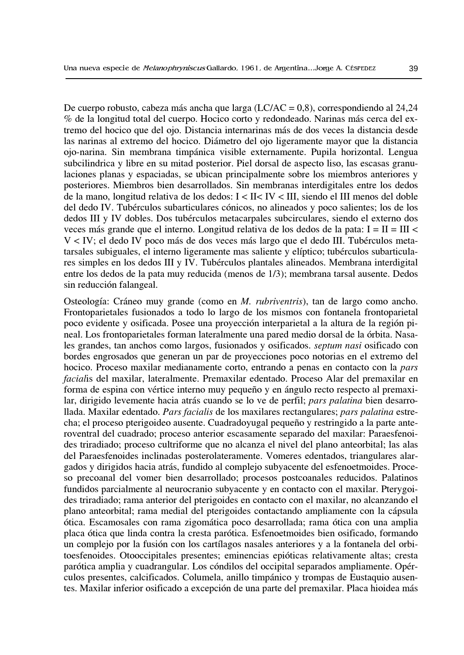De cuerpo robusto, cabeza más ancha que larga (LC/AC = 0,8), correspondiendo al 24,24 % de la longitud total del cuerpo. Hocico corto y redondeado. Narinas más cerca del extremo del hocico que del ojo. Distancia internarinas más de dos veces la distancia desde las narinas al extremo del hocico. Diámetro del ojo ligeramente mayor que la distancia ojo-narina. Sin membrana timpánica visible externamente. Pupila horizontal. Lengua subcilindrica y libre en su mitad posterior. Piel dorsal de aspecto liso, las escasas granulaciones planas y espaciadas, se ubican principalmente sobre los miembros anteriores y posteriores. Miembros bien desarrollados. Sin membranas interdigitales entre los dedos de la mano, longitud relativa de los dedos: I < II< IV < III, siendo el III menos del doble del dedo IV. Tubérculos subarticulares cónicos, no alineados y poco salientes; los de los dedos III y IV dobles. Dos tubérculos metacarpales subcirculares, siendo el externo dos veces más grande que el interno. Longitud relativa de los dedos de la pata:  $I = II = III$ V < IV; el dedo IV poco más de dos veces más largo que el dedo III. Tubérculos metatarsales subiguales, el interno ligeramente mas saliente y elíptico; tubérculos subarticulares simples en los dedos III y IV. Tubérculos plantales alineados. Membrana interdigital entre los dedos de la pata muy reducida (menos de 1/3); membrana tarsal ausente. Dedos sin reducción falangeal.

Osteología: Cráneo muy grande (como en M. rubriventris), tan de largo como ancho. Frontoparietales fusionados a todo lo largo de los mismos con fontanela frontoparietal poco evidente y osificada. Posee una proyección interparietal a la altura de la región pineal. Los frontoparietales forman lateralmente una pared medio dorsal de la órbita. Nasales grandes, tan anchos como largos, fusionados y osificados. *septum nasi* osificado con bordes engrosados que generan un par de proyecciones poco notorias en el extremo del hocico. Proceso maxilar medianamente corto, entrando a penas en contacto con la pars facialis del maxilar, lateralmente. Premaxilar edentado. Proceso Alar del premaxilar en forma de espina con vértice interno muy pequeño y en ángulo recto respecto al premaxilar, dirigido levemente hacia atrás cuando se lo ve de perfil; pars palatina bien desarrollada. Maxilar edentado. Pars facialis de los maxilares rectangulares; pars palatina estrecha; el proceso pterigoideo ausente. Cuadradoyugal pequeño y restringido a la parte anteroventral del cuadrado; proceso anterior escasamente separado del maxilar: Paraesfenoides triradiado; proceso cultriforme que no alcanza el nivel del plano anteorbital; las alas del Paraesfenoides inclinadas posterolateramente. Vomeres edentados, triangulares alargados y dirigidos hacia atrás, fundido al complejo subyacente del esfenoetmoides. Proceso precoanal del vomer bien desarrollado; procesos postcoanales reducidos. Palatinos fundidos parcialmente al neurocranio subyacente y en contacto con el maxilar. Pterygoides triradiado; rama anterior del pterigoides en contacto con el maxilar, no alcanzando el plano anteorbital; rama medial del pterigoides contactando ampliamente con la cápsula ótica. Escamosales con rama zigomática poco desarrollada; rama ótica con una amplia placa ótica que linda contra la cresta parótica. Esfenoetmoides bien osificado, formando un complejo por la fusión con los cartílagos nasales anteriores y a la fontanela del orbitoesfenoides. Otooccipitales presentes; eminencias epióticas relativamente altas; cresta parótica amplia y cuadrangular. Los cóndilos del occipital separados ampliamente. Opérculos presentes, calcificados. Columela, anillo timpánico y trompas de Eustaquio ausentes. Maxilar inferior osificado a excepción de una parte del premaxilar. Placa hioidea más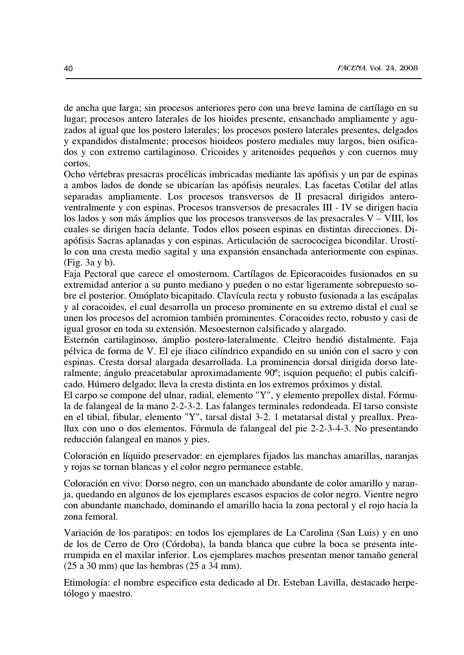de ancha que larga; sin procesos anteriores pero con una breve lamina de cartílago en su lugar; procesos antero laterales de los hioides presente, ensanchado ampliamente y aguzados al igual que los postero laterales; los procesos postero laterales presentes, delgados y expandidos distalmente; procesos hioideos postero mediales muy largos, bien osificados y con extremo cartilaginoso. Cricoides y aritenoides pequeños y con cuernos muy cortos.

Ocho vértebras presacras procélicas imbricadas mediante las apófisis y un par de espinas a ambos lados de donde se ubicarían las apófisis neurales. Las facetas Cotilar del atlas separadas ampliamente. Los procesos transversos de II presacral dirigidos anteroventralmente y con espinas. Procesos transversos de presacrales III - IV se dirigen hacia los lados y son más ámplios que los procesos transversos de las presacrales  $V - VIII$ , los cuales se dirigen hacia delante. Todos ellos poseen espinas en distintas direcciones. Diapófisis Sacras aplanadas y con espinas. Articulación de sacrococigea bicondilar. Urostílo con una cresta medio sagital y una expansión ensanchada anteriormente con espinas. (Fig. 3a y b).

Faja Pectoral que carece el omosternom. Cartílagos de Epicoracoides fusionados en su extremidad anterior a su punto mediano y pueden o no estar ligeramente sobrepuesto sobre el posterior. Omóplato bicapitado. Clavícula recta y robusto fusionada a las escápalas y al coracoides, el cual desarrolla un proceso prominente en su extremo distal el cual se unen los procesos del acromion también prominentes. Coracoides recto, robusto y casi de igual grosor en toda su extensión. Mesoesternon calsificado y alargado.

Esternón cartilaginoso, ámplio postero-lateralmente. Cleitro hendió distalmente. Faja pélvica de forma de V. El eje iliaco cilíndrico expandido en su unión con el sacro y con espinas. Cresta dorsal alargada desarrollada. La prominencia dorsal dirigida dorso lateralmente; ángulo preacetabular aproximadamente 90°; isquion pequeño; el pubis calcificado. Húmero delgado; lleva la cresta distinta en los extremos próximos y distal.

El carpo se compone del ulnar, radial, elemento "Y", y elemento prepollex distal. Fórmula de falangeal de la mano 2-2-3-2. Las falanges terminales redondeada. El tarso consiste en el tibial, fibular, elemento "Y", tarsal distal 3-2. 1 metatarsal distal y preallux. Preallux con uno o dos elementos. Fórmula de falangeal del pie 2-2-3-4-3. No presentando reducción falangeal en manos y pies.

Coloración en líquido preservador: en ejemplares fijados las manchas amarillas, naranjas y rojas se tornan blancas y el color negro permanece estable.

Coloración en vivo: Dorso negro, con un manchado abundante de color amarillo y naranja, quedando en algunos de los ejemplares escasos espacios de color negro. Vientre negro con abundante manchado, dominando el amarillo hacia la zona pectoral y el rojo hacia la zona femoral.

Variación de los paratipos: en todos los ejemplares de La Carolina (San Luis) y en uno de los de Cerro de Oro (Córdoba), la banda blanca que cubre la boca se presenta interrumpida en el maxilar inferior. Los ejemplares machos presentan menor tamaño general  $(25 a 30 mm)$  que las hembras  $(25 a 34 mm)$ .

Etimología: el nombre especifico esta dedicado al Dr. Esteban Lavilla, destacado herpetólogo y maestro.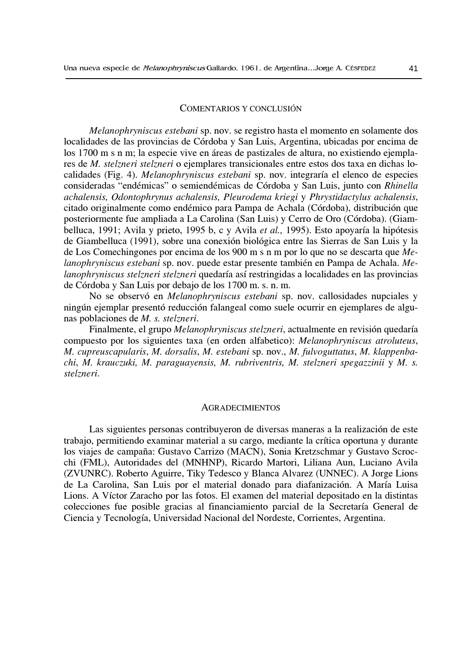#### COMENTARIOS Y CONCLUSIÓN

Melanophryniscus estebani sp. nov. se registro hasta el momento en solamente dos localidades de las provincias de Córdoba y San Luis, Argentina, ubicadas por encima de los 1700 m s n m; la especie vive en áreas de pastizales de altura, no existiendo ejemplares de M. stelzneri stelzneri o ejemplares transicionales entre estos dos taxa en dichas localidades (Fig. 4). Melanophryniscus estebani sp. nov. integraría el elenco de especies consideradas "endémicas" o semiendémicas de Córdoba y San Luis, junto con Rhinella achalensis, Odontophrynus achalensis, Pleurodema kriegi y Phrystidactylus achalensis, citado originalmente como endémico para Pampa de Achala (Córdoba), distribución que posteriormente fue ampliada a La Carolina (San Luis) y Cerro de Oro (Córdoba). (Giambelluca, 1991; Avila y prieto, 1995 b, c y Avila et al., 1995). Esto apoyaría la hipótesis de Giambelluca (1991), sobre una conexión biológica entre las Sierras de San Luis y la de Los Comechingones por encima de los 900 m s n m por lo que no se descarta que  $Me$ lanophryniscus estebani sp. nov. puede estar presente también en Pampa de Achala. Melanophryniscus stelzneri stelzneri quedaría así restringidas a localidades en las provincias de Córdoba y San Luis por debajo de los 1700 m. s. n. m.

No se observó en Melanophryniscus estebani sp. nov. callosidades nupciales y ningún ejemplar presentó reducción falangeal como suele ocurrir en ejemplares de algunas poblaciones de M. s. stelzneri.

Finalmente, el grupo Melanophryniscus stelzneri, actualmente en revisión quedaría compuesto por los siguientes taxa (en orden alfabetico): Melanophryniscus atroluteus, M. cupreuscapularis, M. dorsalis, M. estebani sp. nov., M. fulvoguttatus, M. klappenbachi, M. krauczuki, M. paraguayensis, M. rubriventris, M. stelzneri spegazzinii y M. s. stelzneri.

#### **AGRADECIMIENTOS**

Las siguientes personas contribuyeron de diversas maneras a la realización de este trabajo, permitiendo examinar material a su cargo, mediante la crítica oportuna y durante los viajes de campaña: Gustavo Carrizo (MACN), Sonia Kretzschmar y Gustavo Scrocchi (FML), Autoridades del (MNHNP), Ricardo Martori, Liliana Aun, Luciano Avila (ZVUNRC). Roberto Aguirre, Tiky Tedesco y Blanca Alvarez (UNNEC). A Jorge Lions de La Carolina, San Luis por el material donado para diafanización. A María Luisa Lions. A Víctor Zaracho por las fotos. El examen del material depositado en la distintas colecciones fue posible gracias al financiamiento parcial de la Secretaría General de Ciencia y Tecnología, Universidad Nacional del Nordeste, Corrientes, Argentina.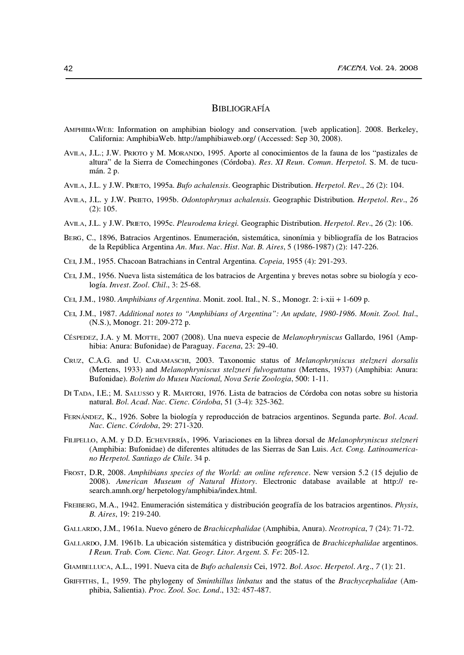## **BIBLIOGRAFÍA**

- AMPHIBIAWEB: Information on amphibian biology and conservation. [web application]. 2008. Berkeley, California: AmphibiaWeb. http://amphibiaweb.org/ (Accessed: Sep 30, 2008).
- AVILA, J.L.; J.W. PRIOTO y M. MORANDO, 1995. Aporte al conocimientos de la fauna de los "pastizales de altura" de la Sierra de Comechingones (Córdoba). Res. XI Reun. Comun. Herpetol. S. M. de tucumán. 2 p.
- AVILA, J.L. y J.W. PRIETO, 1995a. Bufo achalensis. Geographic Distribution. Herpetol. Rev., 26 (2): 104.
- AVILA, J.L. y J.W. PRIETO, 1995b. Odontophrynus achalensis. Geographic Distribution. Herpetol. Rev., 26  $(2): 105.$
- AVILA, J.L. y J.W. PRIETO, 1995c. Pleurodema kriegi. Geographic Distribution. Herpetol. Rev., 26 (2): 106.
- BERG, C., 1896, Batracios Argentinos. Enumeración, sistemática, sinonímia y bibliografía de los Batracios de la República Argentina An. Mus. Nac. Hist. Nat. B. Aires, 5 (1986-1987) (2): 147-226.
- CEI, J.M., 1955. Chacoan Batrachians in Central Argentina. Copeia, 1955 (4): 291-293.
- CEI, J.M., 1956. Nueva lista sistemática de los batracios de Argentina y breves notas sobre su biología y ecología. Invest. Zool. Chil., 3: 25-68.
- CEI, J.M., 1980. Amphibians of Argentina. Monit. zool. Ital., N. S., Monogr. 2: i-xii + 1-609 p.
- CEI, J.M., 1987. Additional notes to "Amphibians of Argentina": An update, 1980-1986. Monit. Zool. Ital., (N.S.), Monogr. 21: 209-272 p.
- CÉSPEDEZ, J.A. y M. MOTTE, 2007 (2008). Una nueva especie de Melanophryniscus Gallardo, 1961 (Amphibia: Anura: Bufonidae) de Paraguay. Facena, 23: 29-40.
- CRUZ, C.A.G. and U. CARAMASCHI, 2003. Taxonomic status of Melanophryniscus stelzneri dorsalis (Mertens, 1933) and Melanophryniscus stelzneri fulvoguttatus (Mertens, 1937) (Amphibia: Anura: Bufonidae). Boletim do Museu Nacional, Nova Serie Zoologia, 500: 1-11.
- DI TADA, I.E.; M. SALUSSO y R. MARTORI, 1976. Lista de batracios de Córdoba con notas sobre su historia natural. Bol. Acad. Nac. Cienc. Córdoba, 51 (3-4): 325-362.
- FERNÁNDEZ, K., 1926. Sobre la biología y reproducción de batracios argentinos. Segunda parte. Bol. Acad. Nac. Cienc. Córdoba, 29: 271-320.
- FILIPELLO, A.M. y D.D. ECHEVERRÍA, 1996. Variaciones en la librea dorsal de Melanophryniscus stelzneri (Amphibia: Bufonidae) de diferentes altitudes de las Sierras de San Luis. Act. Cong. Latinoamericano Herpetol. Santiago de Chile. 34 p.
- FROST, D.R, 2008. Amphibians species of the World: an online reference. New version 5.2 (15 dejulio de 2008). American Museum of Natural History. Electronic database available at http:// research.amnh.org/herpetology/amphibia/index.html.
- FREIBERG, M.A., 1942. Enumeración sistemática y distribución geografía de los batracios argentinos. *Physis*, B. Aires, 19: 219-240.
- GALLARDO, J.M., 1961a. Nuevo género de Brachicephalidae (Amphibia, Anura). Neotropica, 7 (24): 71-72.
- GALLARDO, J.M. 1961b. La ubicación sistemática y distribución geográfica de Brachicephalidae argentinos. I Reun. Trab. Com. Cienc. Nat. Geogr. Litor. Argent. S. Fe: 205-12.
- GIAMBELLUCA, A.L., 1991. Nueva cita de Bufo achalensis Cei, 1972. Bol. Asoc. Herpetol. Arg., 7 (1): 21.
- GRIFFITHS, I., 1959. The phylogeny of Sminthillus linbatus and the status of the Brachycephalidae (Amphibia, Salientia). Proc. Zool. Soc. Lond., 132: 457-487.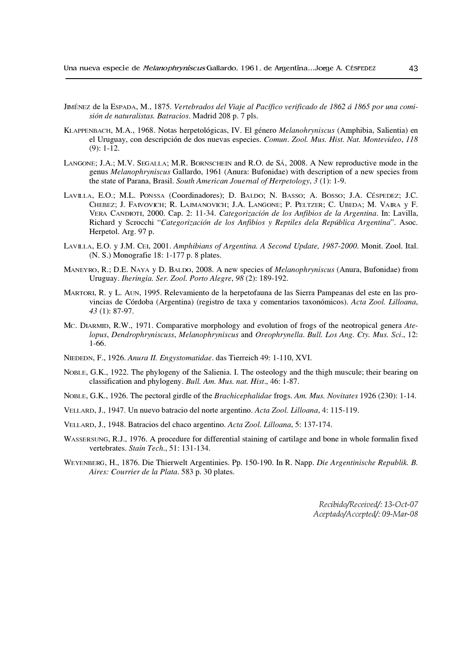- JIMÉNEZ de la ESPADA, M., 1875. Vertebrados del Viaje al Pacífico verificado de 1862 á 1865 por una comisión de naturalistas. Batracios. Madrid 208 p. 7 pls.
- KLAPPENBACH, M.A., 1968. Notas herpetológicas, IV. El género Melanohryniscus (Amphibia, Salientia) en el Uruguay, con descripción de dos nuevas especies. Comun. Zool. Mus. Hist. Nat. Montevideo, 118  $(9)$ : 1-12.
- LANGONE; J.A.; M.V. SEGALLA; M.R. BORNSCHEIN and R.O. de SÁ, 2008. A New reproductive mode in the genus Melanophryniscus Gallardo, 1961 (Anura: Bufonidae) with description of a new species from the state of Parana, Brasil. South American Jouernal of Herpetology,  $3(1)$ : 1-9.
- LAVILLA, E.O.; M.L. PONSSA (Coordinadores); D. BALDO; N. BASSO; A. BOSSO; J.A. CÉSPEDEZ; J.C. CHEBEZ; J. FAIVOVICH; R. LAIMANOVICH; J.A. LANGONE; P. PELTZER; C. UBEDA; M. VAIRA y F. VERA CANDIOTI, 2000. Cap. 2: 11-34. Categorización de los Anfibios de la Argentina. In: Lavilla, Richard y Scrocchi "Categorización de los Anfibios y Reptiles dela República Argentina". Asoc. Herpetol. Arg. 97 p.
- LAVILLA, E.O. y J.M. CEI, 2001. Amphibians of Argentina. A Second Update, 1987-2000. Monit. Zool. Ital. (N. S.) Monografie 18: 1-177 p. 8 plates.
- MANEYRO, R.; D.E. NAYA y D. BALDO, 2008. A new species of *Melanophryniscus* (Anura, Bufonidae) from Uruguay. Iheringia. Ser. Zool. Porto Alegre, 98 (2): 189-192.
- MARTORI, R. y L. AUN, 1995. Relevamiento de la herpetofauna de las Sierra Pampeanas del este en las provincias de Córdoba (Argentina) (registro de taxa y comentarios taxonómicos). Acta Zool. Lilloana, 43 (1): 87-97.
- Mc. DIARMID, R.W., 1971. Comparative morphology and evolution of frogs of the neotropical genera Atelopus, Dendrophryniscuss, Melanophryniscus and Oreophrynella. Bull. Los Ang. Cty. Mus. Sci., 12:  $1-66.$
- NIEDEDN, F., 1926. Anura II. Engystomatidae. das Tierreich 49: 1-110, XVI.
- NOBLE, G.K., 1922. The phylogeny of the Salienia. I. The osteology and the thigh muscule; their bearing on classification and phylogeny. Bull. Am. Mus. nat. Hist., 46: 1-87.
- NOBLE, G.K., 1926. The pectoral girdle of the Brachicephalidae frogs. Am. Mus. Novitates 1926 (230): 1-14.
- VELLARD, J., 1947. Un nuevo batracio del norte argentino. Acta Zool. Lilloana, 4: 115-119.
- VELLARD, J., 1948. Batracios del chaco argentino. Acta Zool. Lilloana, 5: 137-174.
- WASSERSUNG, R.J., 1976. A procedure for differential staining of cartilage and bone in whole formalin fixed vertebrates. Stain Tech., 51: 131-134.
- WEYENBERG, H., 1876. Die Thierwelt Argentinies. Pp. 150-190. In R. Napp. Die Argentinische Republik. B. Aires: Courrier de la Plata. 583 p. 30 plates.

Recibido/Received/: 13-Oct-07 Aceptado/Accepted/: 09-Mar-08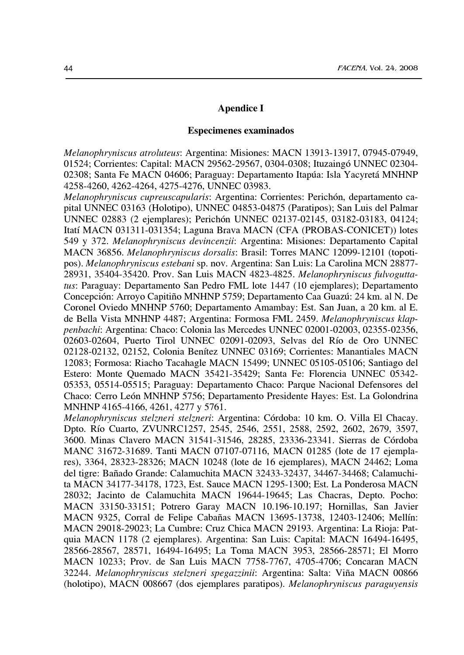## **Apendice I**

#### **Especimenes examinados**

Melanophryniscus atroluteus: Argentina: Misiones: MACN 13913-13917, 07945-07949, 01524; Corrientes: Capital: MACN 29562-29567, 0304-0308; Ituzaingó UNNEC 02304-02308; Santa Fe MACN 04606; Paraguay: Departamento Itapúa: Isla Yacyretá MNHNP 4258-4260, 4262-4264, 4275-4276, UNNEC 03983.

Melanophryniscus cupreuscapularis: Argentina: Corrientes: Perichón, departamento capital UNNEC 03163 (Holotipo), UNNEC 04853-04875 (Paratipos); San Luis del Palmar UNNEC 02883 (2 ejemplares); Perichón UNNEC 02137-02145, 03182-03183, 04124; Itatí MACN 031311-031354; Laguna Brava MACN (CFA (PROBAS-CONICET)) lotes 549 y 372. Melanophryniscus devincenzii: Argentina: Misiones: Departamento Capital MACN 36856. Melanophryniscus dorsalis: Brasil: Torres MANC 12099-12101 (topotipos). Melanophryniscus estebani sp. nov. Argentina: San Luis: La Carolina MCN 28877-28931, 35404-35420. Prov. San Luis MACN 4823-4825. Melanophryniscus fulvoguttatus: Paraguay: Departamento San Pedro FML lote 1447 (10 ejemplares); Departamento Concepción: Arroyo Capitiño MNHNP 5759; Departamento Caa Guazú: 24 km. al N. De Coronel Oviedo MNHNP 5760; Departamento Amambay: Est. San Juan, a 20 km. al E. de Bella Vista MNHNP 4487; Argentina: Formosa FML 2459. Melanophryniscus klappenbachi: Argentina: Chaco: Colonia las Mercedes UNNEC 02001-02003, 02355-02356, 02603-02604, Puerto Tirol UNNEC 02091-02093, Selvas del Río de Oro UNNEC 02128-02132, 02152, Colonia Benítez UNNEC 03169; Corrientes: Manantiales MACN 12083; Formosa: Riacho Tacahagle MACN 15499; UNNEC 05105-05106; Santiago del Estero: Monte Quemado MACN 35421-35429; Santa Fe: Florencia UNNEC 05342-05353, 05514-05515; Paraguay: Departamento Chaco: Parque Nacional Defensores del Chaco: Cerro León MNHNP 5756; Departamento Presidente Hayes: Est. La Golondrina MNHNP 4165-4166, 4261, 4277 y 5761.

Melanophryniscus stelzneri stelzneri: Argentina: Córdoba: 10 km. O. Villa El Chacay. Dpto. Río Cuarto, ZVUNRC1257, 2545, 2546, 2551, 2588, 2592, 2602, 2679, 3597, 3600. Minas Clavero MACN 31541-31546, 28285, 23336-23341. Sierras de Córdoba MANC 31672-31689. Tanti MACN 07107-07116, MACN 01285 (lote de 17 ejemplares), 3364, 28323-28326; MACN 10248 (lote de 16 ejemplares), MACN 24462; Loma del tigre: Bañado Grande: Calamuchita MACN 32433-32437, 34467-34468; Calamuchita MACN 34177-34178, 1723, Est. Sauce MACN 1295-1300; Est. La Ponderosa MACN 28032; Jacinto de Calamuchita MACN 19644-19645; Las Chacras, Depto. Pocho: MACN 33150-33151; Potrero Garay MACN 10.196-10.197; Hornillas, San Javier MACN 9325, Corral de Felipe Cabañas MACN 13695-13738, 12403-12406; Mellín: MACN 29018-29023; La Cumbre: Cruz Chica MACN 29193. Argentina: La Rioja: Patquia MACN 1178 (2 ejemplares). Argentina: San Luis: Capital: MACN 16494-16495, 28566-28567, 28571, 16494-16495; La Toma MACN 3953, 28566-28571; El Morro MACN 10233; Prov. de San Luis MACN 7758-7767, 4705-4706; Concaran MACN 32244. Melanophryniscus stelzneri spegazzinii: Argentina: Salta: Viña MACN 00866 (holotipo), MACN 008667 (dos ejemplares paratipos). Melanophryniscus paraguyensis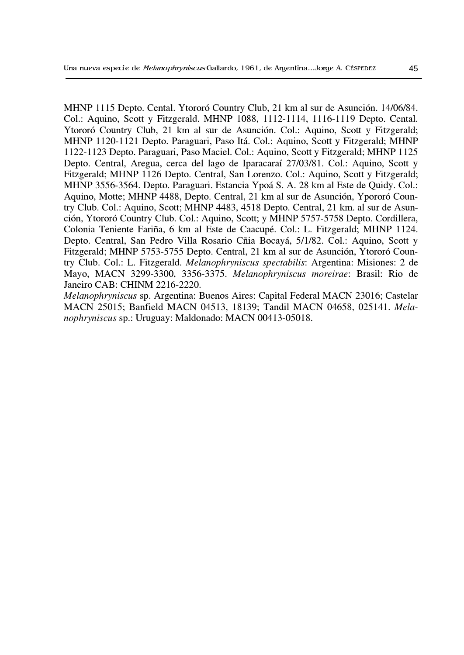MHNP 1115 Depto. Cental. Ytororó Country Club, 21 km al sur de Asunción. 14/06/84. Col.: Aquino, Scott y Fitzgerald. MHNP 1088, 1112-1114, 1116-1119 Depto. Cental. Ytororó Country Club, 21 km al sur de Asunción. Col.: Aquino, Scott y Fitzgerald; MHNP 1120-1121 Depto. Paraguari, Paso Itá. Col.: Aquino, Scott y Fitzgerald; MHNP 1122-1123 Depto. Paraguari, Paso Maciel. Col.: Aquino, Scott y Fitzgerald; MHNP 1125 Depto. Central, Aregua, cerca del lago de Iparacaraí 27/03/81. Col.: Aquino, Scott y Fitzgerald; MHNP 1126 Depto. Central, San Lorenzo. Col.: Aquino, Scott y Fitzgerald; MHNP 3556-3564. Depto. Paraguari. Estancia Ypoá S. A. 28 km al Este de Quidy. Col.: Aquino, Motte; MHNP 4488, Depto. Central, 21 km al sur de Asunción, Ypororó Country Club. Col.: Aquino, Scott; MHNP 4483, 4518 Depto. Central, 21 km. al sur de Asunción, Ytororó Country Club. Col.: Aquino, Scott; y MHNP 5757-5758 Depto. Cordillera, Colonia Teniente Fariña, 6 km al Este de Caacupé. Col.: L. Fitzgerald; MHNP 1124. Depto. Central, San Pedro Villa Rosario Cñia Bocayá, 5/1/82. Col.: Aquino, Scott y Fitzgerald; MHNP 5753-5755 Depto. Central, 21 km al sur de Asunción, Ytororó Country Club. Col.: L. Fitzgerald. *Melanophryniscus spectabilis*: Argentina: Misiones: 2 de Mayo, MACN 3299-3300, 3356-3375. Melanophryniscus moreirae: Brasil: Rio de Janeiro CAB: CHINM 2216-2220.

Melanophryniscus sp. Argentina: Buenos Aires: Capital Federal MACN 23016; Castelar MACN 25015; Banfield MACN 04513, 18139; Tandil MACN 04658, 025141. Melanophryniscus sp.: Uruguay: Maldonado: MACN 00413-05018.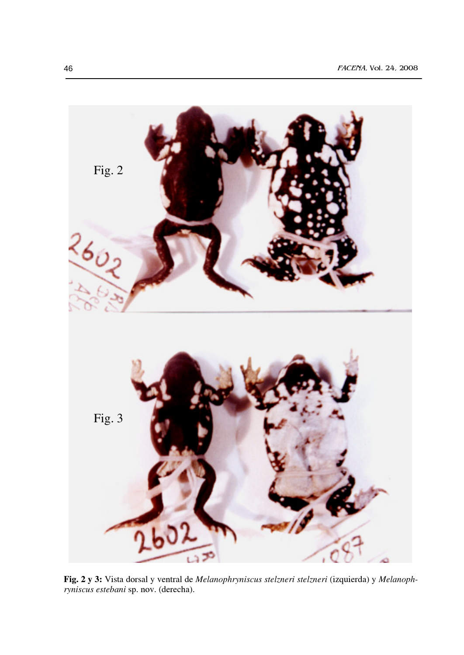

Fig. 2 y 3: Vista dorsal y ventral de Melanophryniscus stelzneri stelzneri (izquierda) y Melanophryniscus estebani sp. nov. (derecha).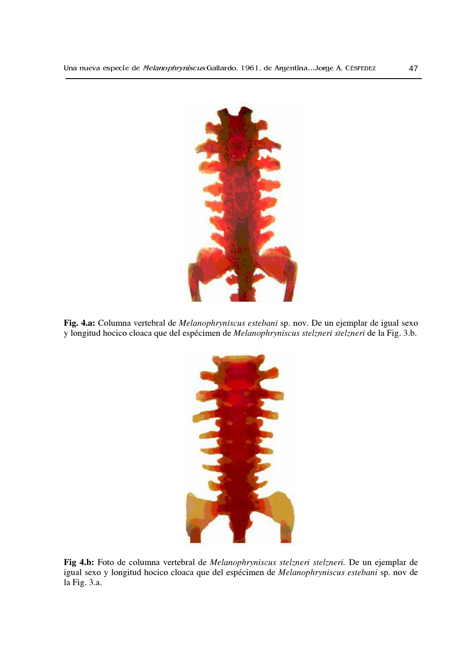

Fig. 4.a: Columna vertebral de Melanophryniscus estebani sp. nov. De un ejemplar de igual sexo y longitud hocico cloaca que del espécimen de Melanophryniscus stelzneri stelzneri de la Fig. 3.b.



Fig 4.b: Foto de columna vertebral de Melanophryniscus stelzneri stelzneri. De un ejemplar de igual sexo y longitud hocico cloaca que del espécimen de Melanophryniscus estebani sp. nov de la Fig. 3.a.